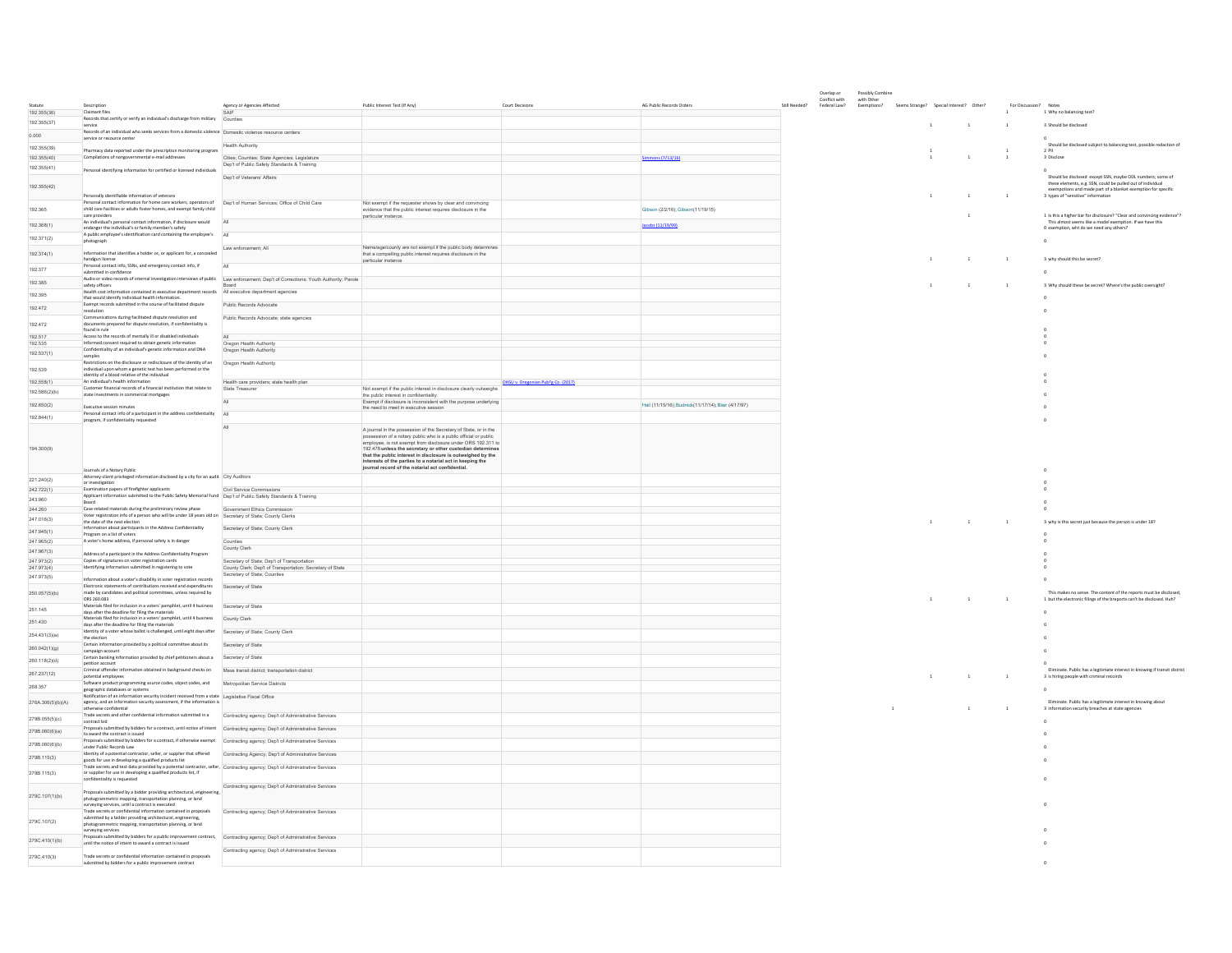|                            |                                                                                                                                                                           |                                                                                              |                                                                                                                                                                              |                                     |                                                     | Overlap or<br>Conflict with | Possibly Combine<br>with Other |                                         |              |                |                |                                                                                                                                      |
|----------------------------|---------------------------------------------------------------------------------------------------------------------------------------------------------------------------|----------------------------------------------------------------------------------------------|------------------------------------------------------------------------------------------------------------------------------------------------------------------------------|-------------------------------------|-----------------------------------------------------|-----------------------------|--------------------------------|-----------------------------------------|--------------|----------------|----------------|--------------------------------------------------------------------------------------------------------------------------------------|
|                            | Descriptio                                                                                                                                                                | Agency or Agencies Affected                                                                  | Public Interest Test (If Any)                                                                                                                                                | Court Decisions                     | AG Public Records Orders                            | Federal Law?                | Exemptions?                    | Seems Strange? Special Interest? Other? |              |                |                | Notes                                                                                                                                |
| 192.355(36)<br>192.355(37) | Claimant files<br>Records that certify or verify an individual's discharge from military                                                                                  | Counties                                                                                     |                                                                                                                                                                              |                                     |                                                     |                             |                                |                                         |              |                |                | 1 Why no halancing test?                                                                                                             |
|                            | service<br>Records of an individual who seeks services from a domestic violence Domestic violence resource centers                                                        |                                                                                              |                                                                                                                                                                              |                                     |                                                     |                             |                                |                                         | $\mathbf{1}$ | $\overline{1}$ | $\mathbf{1}$   | 3 Should be disclosed                                                                                                                |
| 0.000                      | service or resource center                                                                                                                                                |                                                                                              |                                                                                                                                                                              |                                     |                                                     |                             |                                |                                         |              |                |                |                                                                                                                                      |
| 192.355(39)                | Pharmacy data reported under the prescription monitoring program                                                                                                          | <b>Health Authority</b>                                                                      |                                                                                                                                                                              |                                     |                                                     |                             |                                |                                         | $\mathbf{1}$ |                | $\mathbf{1}$   | Should be disclosed subject to balancing test, possible redaction of<br>2 PII                                                        |
| 192.355(40)                | Compilations of nongovernmental e-mail addresses                                                                                                                          | Cities; Counties; State Agencies; Legislature<br>Dep't of Public Safety Standards & Training |                                                                                                                                                                              |                                     | $\frac{1}{2}$ (7/13/16)                             |                             |                                |                                         |              | $\overline{1}$ |                | 3 Disclose                                                                                                                           |
| 192.355(41)                | Personal identifying information for certified or licensed individuals                                                                                                    | Den't of Veterans' Affairs                                                                   |                                                                                                                                                                              |                                     |                                                     |                             |                                |                                         |              |                |                | Should be disclosed except SSN, maybe ODL numbers; some of                                                                           |
| 192.355(42)                |                                                                                                                                                                           |                                                                                              |                                                                                                                                                                              |                                     |                                                     |                             |                                |                                         |              |                |                | these elements, e.g. SSN, could be pulled out of individual<br>exemptions and made part of a blanket exemption for specific          |
|                            | Personally identifiable information of veterans                                                                                                                           |                                                                                              |                                                                                                                                                                              |                                     |                                                     |                             |                                |                                         |              | $\overline{1}$ | $\mathbf{1}$   | 3 types of "sensitive" information                                                                                                   |
| 192.365                    | Personal contact information for home care workers, operators of<br>child care facilities or adults foster homes, and exempt family child                                 | Dep't of Human Services; Office of Child Care                                                | Not exempt if the requester shows by clear and convincing<br>evidence that the public interest requires disclosure in the                                                    |                                     | Sibson (2/2/16): Gibson(11/19/15)                   |                             |                                |                                         |              |                |                |                                                                                                                                      |
|                            | care providers<br>An individual's personal contact information, if disclosure would                                                                                       |                                                                                              | particular instance.                                                                                                                                                         |                                     |                                                     |                             |                                |                                         |              |                |                | 1 Is this a higher bar for disclosure? "Clear and convincing evidence"?<br>This almost seems like a model exemption. If we have this |
| 192.368(1)                 | endanger the individual's or family member's safety                                                                                                                       |                                                                                              |                                                                                                                                                                              |                                     | Jacobs (11/19/99)                                   |                             |                                |                                         |              |                |                | 0 exemption, wht do we need any others?                                                                                              |
| 192.371(2)                 | A public employee's identification card containing the employee's<br>hotograph                                                                                            |                                                                                              |                                                                                                                                                                              |                                     |                                                     |                             |                                |                                         |              |                |                | $\mathbf{a}$                                                                                                                         |
| 192.374(1)                 | Information that identifies a holder or, or applicant for, a concealed                                                                                                    | Law enforcement; All                                                                         | Name/age/county are not exempt if the public body determines<br>that a compelling public interest requires disclosure in the                                                 |                                     |                                                     |                             |                                |                                         |              |                |                |                                                                                                                                      |
|                            | handgun license<br>Personal contact info, SSNs, and emergency contact info, if                                                                                            |                                                                                              | particular instance                                                                                                                                                          |                                     |                                                     |                             |                                |                                         | $\mathbf{1}$ | $\overline{1}$ | $\mathbf{1}$   | 3 why should this be secret?                                                                                                         |
| 192.377                    | submitted in confidence                                                                                                                                                   |                                                                                              |                                                                                                                                                                              |                                     |                                                     |                             |                                |                                         |              |                |                | $\Omega$                                                                                                                             |
| 192.385                    | Audio or video records of internal investigation interviews of public Law enforcement: Dep't of Corrections: Youth Authority: Parole<br>safety officers                   |                                                                                              |                                                                                                                                                                              |                                     |                                                     |                             |                                |                                         | $\mathbf{1}$ | $\overline{1}$ | $\mathbf{1}$   | 3 Why should these be secret? Where's the public oversight?                                                                          |
| 192.395                    | Health cost information contained in executive department records  All executive department agencies<br>that would identify individual health information                 |                                                                                              |                                                                                                                                                                              |                                     |                                                     |                             |                                |                                         |              |                |                |                                                                                                                                      |
| 192 472                    | Exempt records submitted in the course of facilitated dispute<br>resolution                                                                                               | Public Records Advocate                                                                      |                                                                                                                                                                              |                                     |                                                     |                             |                                |                                         |              |                |                |                                                                                                                                      |
|                            | Communications during facilitated dispute resolution and                                                                                                                  | Public Records Advocate; state agencies                                                      |                                                                                                                                                                              |                                     |                                                     |                             |                                |                                         |              |                |                |                                                                                                                                      |
| 192.472                    | documents prepared for dispute resolution, if confidentiality is<br>found in rule                                                                                         |                                                                                              |                                                                                                                                                                              |                                     |                                                     |                             |                                |                                         |              |                |                |                                                                                                                                      |
| 192.517<br>192.535         | Access to the records of mentally ill or disabled individuals<br>Informed consent required to obtain genetic information                                                  | Oregon Health Authority                                                                      |                                                                                                                                                                              |                                     |                                                     |                             |                                |                                         |              |                |                |                                                                                                                                      |
| 192.537(1)                 | Confidentiality of an individual's genetic information and DNA                                                                                                            | Oregon Health Authority                                                                      |                                                                                                                                                                              |                                     |                                                     |                             |                                |                                         |              |                |                |                                                                                                                                      |
|                            | samples<br>Restrictions on the disclosure or redisclosure of the identity of an                                                                                           | Oregon Health Authority                                                                      |                                                                                                                                                                              |                                     |                                                     |                             |                                |                                         |              |                |                |                                                                                                                                      |
| 192.539                    | $\,$ individual upon whom a genetic test has been performed or the identity of a blood relative of the individual                                                         |                                                                                              |                                                                                                                                                                              |                                     |                                                     |                             |                                |                                         |              |                |                |                                                                                                                                      |
| 192.558(1)                 | An individual's health information                                                                                                                                        | lealth care providers; state health plan                                                     |                                                                                                                                                                              | OHSU v. Oregonian Publ'g Co. (2017) |                                                     |                             |                                |                                         |              |                |                |                                                                                                                                      |
| 192.586(2)(b)              | Customer financial records of a financial institution that relate to<br>state investments in commercial mortgages                                                         | State Treasurer                                                                              | Not exempt if the public interest in disclosure clearly outweighs<br>the public interest in confidentiality.                                                                 |                                     |                                                     |                             |                                |                                         |              |                |                |                                                                                                                                      |
| 192,650(2)                 | Executive session minutes                                                                                                                                                 |                                                                                              | Exempt if disclosure is inconsistent with the purpose underlying<br>the need to meet in executive session                                                                    |                                     | Hall (11/15/16): Budnick(11/17/14): Blair (4/17/97) |                             |                                |                                         |              |                |                |                                                                                                                                      |
| 192.844(1)                 | Personal contact info of a participant in the address confidentiality<br>program, if confidentiality requested                                                            | All                                                                                          |                                                                                                                                                                              |                                     |                                                     |                             |                                |                                         |              |                |                |                                                                                                                                      |
|                            |                                                                                                                                                                           |                                                                                              | A journal in the possession of the Secretary of State, or in the                                                                                                             |                                     |                                                     |                             |                                |                                         |              |                |                |                                                                                                                                      |
|                            |                                                                                                                                                                           |                                                                                              | possession of a notary public who is a public official or public                                                                                                             |                                     |                                                     |                             |                                |                                         |              |                |                |                                                                                                                                      |
| 194.300(9)                 |                                                                                                                                                                           |                                                                                              | mployee, is not exempt from disclosure under ORS 192.311 to<br>192.478 unless the secretary or other custodian determines                                                    |                                     |                                                     |                             |                                |                                         |              |                |                |                                                                                                                                      |
|                            |                                                                                                                                                                           |                                                                                              | that the public interest in disclosure is outweighed by the<br>interests of the parties to a notarial act in keeping the<br>journal record of the notarial act confidential. |                                     |                                                     |                             |                                |                                         |              |                |                |                                                                                                                                      |
|                            | Journals of a Notary Public                                                                                                                                               |                                                                                              |                                                                                                                                                                              |                                     |                                                     |                             |                                |                                         |              |                |                |                                                                                                                                      |
| 221.240(2)                 | Attorney-client privileged information disclosed by a city for an audit City Auditors<br>or investigation                                                                 |                                                                                              |                                                                                                                                                                              |                                     |                                                     |                             |                                |                                         |              |                |                |                                                                                                                                      |
| 242.722(1)                 | Examination papers of firefighter applicants<br>Applicant information submitted to the Public Safety Memorial Fund Dep't of Public Safety Standards & Training            | Civil Service Commissions                                                                    |                                                                                                                                                                              |                                     |                                                     |                             |                                |                                         |              |                |                |                                                                                                                                      |
| 243,960                    | <b>Board</b>                                                                                                                                                              |                                                                                              |                                                                                                                                                                              |                                     |                                                     |                             |                                |                                         |              |                |                |                                                                                                                                      |
| 244.260<br>247.016(3)      | Case-related materials during the preliminary review phase<br>Voter registration info of a person who will be under 18 years old on Secretary of State; County Clerks     | Government Ethics Commis                                                                     |                                                                                                                                                                              |                                     |                                                     |                             |                                |                                         |              |                |                |                                                                                                                                      |
|                            | the date of the next election<br>Information about participants in the Address Confidentiality                                                                            | Secretary of State; County Clerk                                                             |                                                                                                                                                                              |                                     |                                                     |                             |                                |                                         |              | $\overline{1}$ | $\mathbf{1}$   | 3 why is this secret just because the person is under 18?                                                                            |
| 247.945(1)                 | Program on a list of voters<br>A voter's home address, if personal safety is in danger                                                                                    |                                                                                              |                                                                                                                                                                              |                                     |                                                     |                             |                                |                                         |              |                |                |                                                                                                                                      |
| 247.965(2)<br>247.967(3)   |                                                                                                                                                                           | County Clerk                                                                                 |                                                                                                                                                                              |                                     |                                                     |                             |                                |                                         |              |                |                |                                                                                                                                      |
| 247.973(2)                 | Address of a participant in the Address Confidentiality Program<br>Copies of signatures on voter registration cards                                                       | Secretary of State; Dep't of Transportation                                                  |                                                                                                                                                                              |                                     |                                                     |                             |                                |                                         |              |                |                |                                                                                                                                      |
| 247.973(4)                 | Identifying information submitted in registering to vote                                                                                                                  | County Clerk; Dep't of Transportation; Secretary of State<br>Secretary of State; Counties    |                                                                                                                                                                              |                                     |                                                     |                             |                                |                                         |              |                |                |                                                                                                                                      |
| 247.973(5)                 | Information about a voter's disability in voter registration records                                                                                                      |                                                                                              |                                                                                                                                                                              |                                     |                                                     |                             |                                |                                         |              |                |                |                                                                                                                                      |
| 250.057(5)(b)              | Electronic statements of contributions received and expenditures<br>made by candidates and political committees, unless required by                                       | Secretary of State                                                                           |                                                                                                                                                                              |                                     |                                                     |                             |                                |                                         |              |                |                | This makes no sense. The content of the reports must be disclosed                                                                    |
|                            | ORS 260.083<br>Materials filed for inclusion in a voters' pamphlet, until 4 business                                                                                      | Secretary of State                                                                           |                                                                                                                                                                              |                                     |                                                     |                             |                                |                                         |              | $\overline{1}$ | $\overline{1}$ | 1 but the electronic filings of the breports can't be disclosed. Huh?                                                                |
| 251.145                    | days after the deadline for filing the materials<br>Materials filed for inclusion in a voters' pamphlet, until 4 business                                                 | County Clerk                                                                                 |                                                                                                                                                                              |                                     |                                                     |                             |                                |                                         |              |                |                |                                                                                                                                      |
| 251,430                    | days after the deadline for filing the materials                                                                                                                          |                                                                                              |                                                                                                                                                                              |                                     |                                                     |                             |                                |                                         |              |                |                |                                                                                                                                      |
| 254 431(3)(a)              | Identity of a voter whose ballot is challenged, until eight days after<br>the election                                                                                    | Secretary of State; County Clerk                                                             |                                                                                                                                                                              |                                     |                                                     |                             |                                |                                         |              |                |                |                                                                                                                                      |
| 260.042(1)(g)              | Certain information provided by a political committee about its<br>campaign account                                                                                       | Secretary of State                                                                           |                                                                                                                                                                              |                                     |                                                     |                             |                                |                                         |              |                |                |                                                                                                                                      |
| 260.118(2)(d)              | Certain banking information provided by chief petitioners about a                                                                                                         | Secretary of State                                                                           |                                                                                                                                                                              |                                     |                                                     |                             |                                |                                         |              |                |                |                                                                                                                                      |
| 267.237(12)                | petition account<br>Criminal offender information obtained in background checks on                                                                                        | Mass transit district; transportation district                                               |                                                                                                                                                                              |                                     |                                                     |                             |                                |                                         |              |                |                | Eliminate. Public has a legitimate interest in knowing if transit district                                                           |
|                            | potential employees<br>oftware product programming source codes, object codes, and                                                                                        | Metropolitan Service Districts                                                               |                                                                                                                                                                              |                                     |                                                     |                             |                                |                                         |              |                | $\mathbf{1}$   | 3 is hiring people with criminal recoirds                                                                                            |
| 268.357                    | geographic databases or systems                                                                                                                                           |                                                                                              |                                                                                                                                                                              |                                     |                                                     |                             |                                |                                         |              |                |                |                                                                                                                                      |
| 276A.306(5)(b)(A)          | Notification of an information security incident received from a state Legislative Fiscal Office<br>agency, and an information security assessment, if the information is |                                                                                              |                                                                                                                                                                              |                                     |                                                     |                             |                                |                                         |              |                |                | Eliminate. Public has a legitimate interest in knowing about                                                                         |
| 279B.055(5)(c)             | otherwise confidential<br>Trade secrets and other confidential information submitted in a                                                                                 | Contracting agency: Dep't of Administrative Services                                         |                                                                                                                                                                              |                                     |                                                     |                             |                                |                                         |              | $\overline{1}$ | $\mathbf{1}$   | 3 information security breaches at state agencies                                                                                    |
|                            | contract bid<br>Proposals submitted by bidders for a contract, until notice of intent Contracting agency; Dep't of Administrative Services                                |                                                                                              |                                                                                                                                                                              |                                     |                                                     |                             |                                |                                         |              |                |                |                                                                                                                                      |
| 279B.060(6)(a)             | to award the contract is issued                                                                                                                                           |                                                                                              |                                                                                                                                                                              |                                     |                                                     |                             |                                |                                         |              |                |                |                                                                                                                                      |
| 279B.060(6)(b)             | Proposals submitted by bidders for a contract, if otherwise exempt Contracting agency; Dep't of Administrative Services<br>under Public Records Law                       |                                                                                              |                                                                                                                                                                              |                                     |                                                     |                             |                                |                                         |              |                |                |                                                                                                                                      |
| 279B.115(3)                | dentity of a potential contractor, seller, or supplier that offered<br>goods for use in developing a qualified products list                                              | Contracting Agency; Dep't of Administrative Services                                         |                                                                                                                                                                              |                                     |                                                     |                             |                                |                                         |              |                |                |                                                                                                                                      |
|                            | rade secrets and test data provided by a potential contractor, seller, Contracting agency; Dep't of Administrative Services                                               |                                                                                              |                                                                                                                                                                              |                                     |                                                     |                             |                                |                                         |              |                |                |                                                                                                                                      |
| 279B.115(3)                | or supplier for use in developing a qualified products list, if<br>onfidentiality is requested                                                                            |                                                                                              |                                                                                                                                                                              |                                     |                                                     |                             |                                |                                         |              |                |                |                                                                                                                                      |
|                            | Proposals submitted by a bidder providing architectural, engineering,                                                                                                     | Contracting agency: Dep't of Administrative Services                                         |                                                                                                                                                                              |                                     |                                                     |                             |                                |                                         |              |                |                |                                                                                                                                      |
| 279C.107(1)(b)             | photogrammetric mapping, transportation planning, or land<br>surveying services, until a contract is executed                                                             |                                                                                              |                                                                                                                                                                              |                                     |                                                     |                             |                                |                                         |              |                |                |                                                                                                                                      |
|                            | Trade secrets or confidential information contained in proposals                                                                                                          | Contracting agency; Dep't of Administrative Services                                         |                                                                                                                                                                              |                                     |                                                     |                             |                                |                                         |              |                |                |                                                                                                                                      |
| 279C.107(2)                | submitted by a bidder providing architectural, engineering,<br>photogrammetric mapping, transportation planning, or land                                                  |                                                                                              |                                                                                                                                                                              |                                     |                                                     |                             |                                |                                         |              |                |                |                                                                                                                                      |
|                            | surveying services<br>Proposals submitted by bidders for a public improvement contract. Contracting agency; Dep't of Administrative Services                              |                                                                                              |                                                                                                                                                                              |                                     |                                                     |                             |                                |                                         |              |                |                |                                                                                                                                      |
| 279C.410(1)(b)             | until the notice of intent to award a contract is issued                                                                                                                  |                                                                                              |                                                                                                                                                                              |                                     |                                                     |                             |                                |                                         |              |                |                |                                                                                                                                      |
| 279C.410(3)                | Trade secrets or confidential information contained in proposals                                                                                                          | Contracting agency; Dep't of Administrative Services                                         |                                                                                                                                                                              |                                     |                                                     |                             |                                |                                         |              |                |                |                                                                                                                                      |
|                            | submitted by bidders for a public improvement contract                                                                                                                    |                                                                                              |                                                                                                                                                                              |                                     |                                                     |                             |                                |                                         |              |                |                |                                                                                                                                      |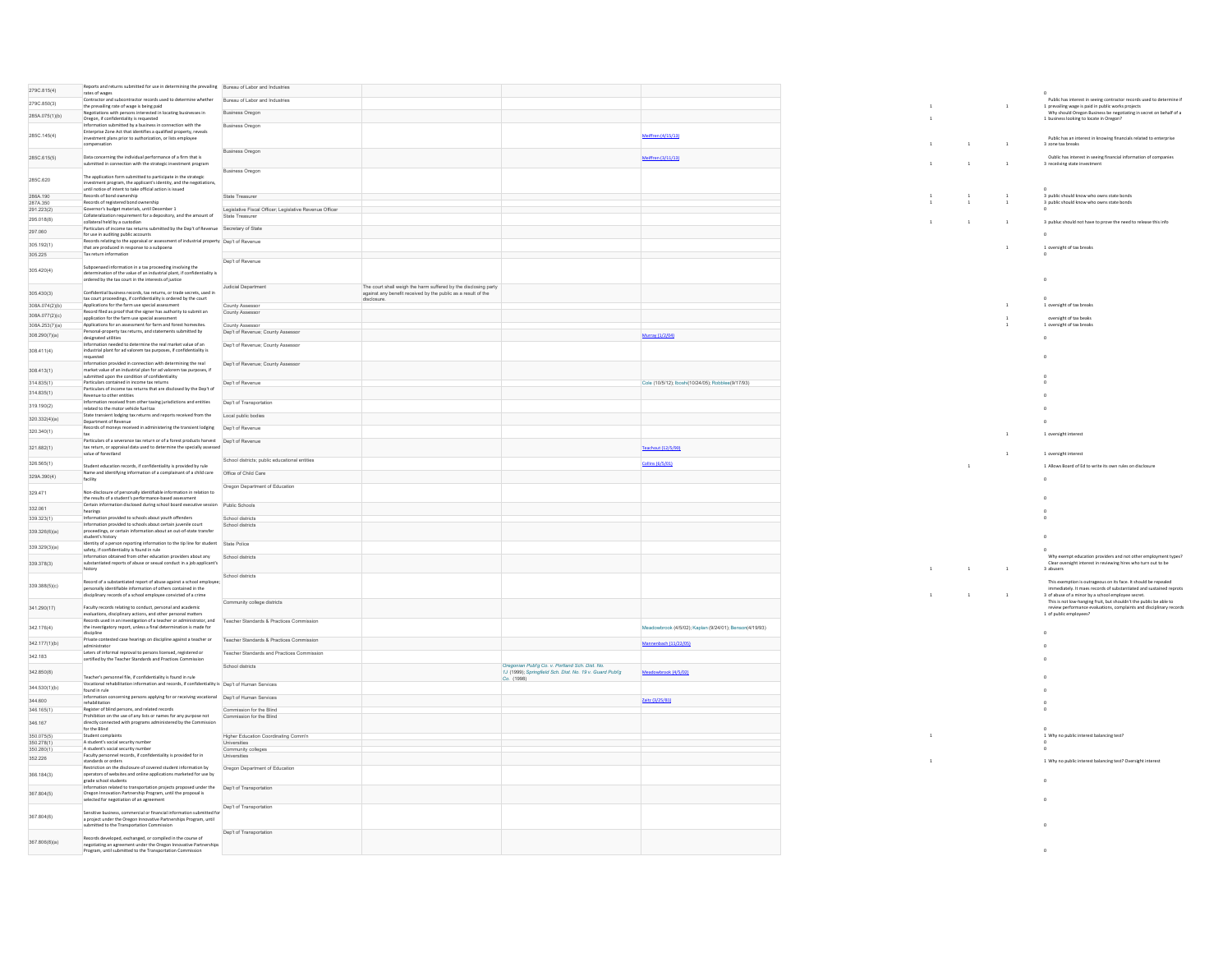| 279C 815(4)                      | Reports and returns submitted for use in determining the prevailing Bureau of Labor and Industries<br>rates of wages                                                                                                                    |                                                         |                                                                                                                                  |                                                                                                             |                                                         |              |                |                |                                                                                                                                                                                              |
|----------------------------------|-----------------------------------------------------------------------------------------------------------------------------------------------------------------------------------------------------------------------------------------|---------------------------------------------------------|----------------------------------------------------------------------------------------------------------------------------------|-------------------------------------------------------------------------------------------------------------|---------------------------------------------------------|--------------|----------------|----------------|----------------------------------------------------------------------------------------------------------------------------------------------------------------------------------------------|
| 279C 850(3)                      | Contractor and subcontractor records used to determine whether Bureau of Labor and Industries                                                                                                                                           |                                                         |                                                                                                                                  |                                                                                                             |                                                         |              |                | $\mathbf 1$    | Public has interest in seeing contractor records used to determine if<br>1 prevailing wage is paid in public works projects                                                                  |
| 285A.075(1)(b)                   | the prevailing rate of wage is being paid<br>Negotiations with persons interested in locating businesses in<br>Oregon, if confidentiality is requested                                                                                  | Business Oregon                                         |                                                                                                                                  |                                                                                                             |                                                         |              |                |                | Why should Oregon Business be negotiating in secret on behalf of a<br>1 business looking to locate in Oregon?                                                                                |
|                                  | Information submitted by a business in connection with the<br>Enterprise Zone Act that identifies a qualified property, reveals                                                                                                         | Business Oregon                                         |                                                                                                                                  |                                                                                                             |                                                         |              |                |                |                                                                                                                                                                                              |
| 285C.145(4)                      | investment plans prior to authorization, or lists employee<br>omnensation                                                                                                                                                               |                                                         |                                                                                                                                  |                                                                                                             | Meiffren (4/15/13)                                      | $\mathbf{1}$ | $\overline{1}$ | $\mathbf{1}$   | Public has an interest in knowing financials related to enterprise<br>3 zone tax breaks                                                                                                      |
| 285C.615(5)                      | Data concerning the individual performance of a firm that is<br>submitted in connection with the strategic investment program                                                                                                           | Business Oregon                                         |                                                                                                                                  |                                                                                                             | Meiffren (3/11/13)                                      |              | $\overline{1}$ | $\overline{1}$ | Oublic has interest in seeing financial information of companies<br>3 receiiving state investment                                                                                            |
| 285C.620                         | The application form submitted to participate in the strategic<br>investment program, the applicant's identity, and the negotiations.<br>until notice of intent to take official action is issued                                       | <b>Business Oregon</b>                                  |                                                                                                                                  |                                                                                                             |                                                         |              |                |                |                                                                                                                                                                                              |
| 286A.190                         | Records of bood ownership                                                                                                                                                                                                               | State Treasurer                                         |                                                                                                                                  |                                                                                                             |                                                         |              | $\overline{1}$ | $\overline{1}$ | 3 public should know who owns state bonds                                                                                                                                                    |
| 287A.350<br>291.223(2)           | Records of registered bond ownership<br>Governor's budget materials, until December 1                                                                                                                                                   | Legislative Fiscal Officer; Legislative Revenue Officer |                                                                                                                                  |                                                                                                             |                                                         |              |                |                | 3 public should know who owns state bonds                                                                                                                                                    |
| 295.018(8)                       | Collateralization requirement for a depository, and the amount of<br>collateral held by a custodian                                                                                                                                     | State Treasurer                                         |                                                                                                                                  |                                                                                                             |                                                         | $\sim$       | $\overline{1}$ | $\mathbf{1}$   | 3 publuc should not have to prove the need to release this info                                                                                                                              |
| 297,060                          | Particulars of income tax returns submitted by the Dep't of Revenue Secretary of State<br>for use in auditing public accounts                                                                                                           |                                                         |                                                                                                                                  |                                                                                                             |                                                         |              |                |                | $\sim$                                                                                                                                                                                       |
| 305 192(1)                       | Records relating to the appraisal or assessment of industrial property Dep't of Revenue<br>that are produced in response to a subpoena                                                                                                  |                                                         |                                                                                                                                  |                                                                                                             |                                                         |              |                | $\mathbf{1}$   | 1 oversight of tax breaks                                                                                                                                                                    |
| 305.225                          | Tax return information                                                                                                                                                                                                                  |                                                         |                                                                                                                                  |                                                                                                             |                                                         |              |                |                |                                                                                                                                                                                              |
| 305 420(4)                       | Subpoenaed information in a tax proceeding involving the<br>determination of the value of an industrial plant, if confidentiality is<br>ordered by the tax court in the interests of justice                                            | Dep't of Revenue                                        |                                                                                                                                  |                                                                                                             |                                                         |              |                |                | $\circ$                                                                                                                                                                                      |
| 305.430(3)                       | Confidential business records, tax returns, or trade secrets, used in<br>tax court proceedings, if confidentiality is ordered by the court                                                                                              | Judicial Department                                     | The court shall weigh the harm suffered by the disclosing party<br>against any benefit received by the public as a result of the |                                                                                                             |                                                         |              |                |                |                                                                                                                                                                                              |
| 308A.074(2)(b)                   | Applications for the farm use special assessment<br>Record filed as proof that the signer has authority to submit an                                                                                                                    | County Assessor<br>County Assessor                      |                                                                                                                                  |                                                                                                             |                                                         |              |                |                | 1 oversight of tax breaks                                                                                                                                                                    |
| 308A.077(2)(c)<br>308A.253(7)(a) | application for the farm use special assessment<br>Applications for an assessment for farm and forest homesites.                                                                                                                        | County Assesso                                          |                                                                                                                                  |                                                                                                             |                                                         |              |                |                | oversight of tax beaks<br>1 oversight of tax breaks                                                                                                                                          |
| 308.290(7)(a)                    | Personal-property tax returns, and statements submitted by<br>designated utilities                                                                                                                                                      | Dep't of Revenue; County Assessor                       |                                                                                                                                  |                                                                                                             | Murray (1/2/04)                                         |              |                |                | $\sim$                                                                                                                                                                                       |
|                                  | Information needed to determine the real market value of an                                                                                                                                                                             | Dep't of Revenue; County Assessor                       |                                                                                                                                  |                                                                                                             |                                                         |              |                |                |                                                                                                                                                                                              |
| 308.411(4)                       | industrial plant for ad valorem tax purposes, if confidentiality is<br>requested<br>Information provided in connection with determining the real                                                                                        | Dep't of Revenue; County Assessor                       |                                                                                                                                  |                                                                                                             |                                                         |              |                |                |                                                                                                                                                                                              |
| 308.413(1)                       | market value of an industrial plan for ad valorem tax purposes, if<br>submitted upon the condition of confidentiality                                                                                                                   |                                                         |                                                                                                                                  |                                                                                                             |                                                         |              |                |                |                                                                                                                                                                                              |
| 314.835(1)                       | Particulars contained in income tax returns<br>Particulars of income tax returns that are disclosed by the Dep't of                                                                                                                     | Dep't of Revenue                                        |                                                                                                                                  |                                                                                                             | Cole (10/5/12); Iboshi(10/24/05); Robblee(9/17/93)      |              |                |                |                                                                                                                                                                                              |
| 314.835(1)                       | Revenue to other entities<br>Information received from other taxing jurisdictions and entities                                                                                                                                          | Dep't of Transportation                                 |                                                                                                                                  |                                                                                                             |                                                         |              |                |                |                                                                                                                                                                                              |
| 319.190(2)                       | related to the motor vehicle fuel tax<br>State transient lodging tax returns and reports received from the Local public bodies                                                                                                          |                                                         |                                                                                                                                  |                                                                                                             |                                                         |              |                |                |                                                                                                                                                                                              |
| 320.332(4)(a)                    | Department of Revenue                                                                                                                                                                                                                   |                                                         |                                                                                                                                  |                                                                                                             |                                                         |              |                |                |                                                                                                                                                                                              |
| 320.340(1)                       | Records of moneys received in administering the transient lodging Dep't of Revenue                                                                                                                                                      |                                                         |                                                                                                                                  |                                                                                                             |                                                         |              |                | $\,$ 1         | 1 oversight interest                                                                                                                                                                         |
| 321.682(1)                       | Particulars of a severance tax return or of a forest products harvest Dep't of Revenue<br>tax return, or appraisal data used to determine the specially assessed<br>value of forestland                                                 |                                                         |                                                                                                                                  |                                                                                                             | Teachout (12/5/90)                                      |              |                | $\mathbf{1}$   | 1 oversight interest                                                                                                                                                                         |
| 326.565(1)                       | Student education records. if confidentiality is provided by rule                                                                                                                                                                       | School districts: public educational entities           |                                                                                                                                  |                                                                                                             | <b>Collins (6/5/01)</b>                                 |              | $\mathbf{1}$   |                | 1 Allows Board of Ed to write its own rules on disclosure                                                                                                                                    |
| 329A.390(4)                      | Name and identifying information of a complainant of a child care<br>facility                                                                                                                                                           | Office of Child Care                                    |                                                                                                                                  |                                                                                                             |                                                         |              |                |                |                                                                                                                                                                                              |
| 329.471                          | Non-disclosure of personally identifiable information in relation to<br>the results of a student's performance-based assessment                                                                                                         | Oregon Department of Education                          |                                                                                                                                  |                                                                                                             |                                                         |              |                |                |                                                                                                                                                                                              |
| 332.061                          | Certain information disclosed during school board executive session Dublin Schools<br>hearings                                                                                                                                          |                                                         |                                                                                                                                  |                                                                                                             |                                                         |              |                |                |                                                                                                                                                                                              |
| 339.323(1)                       | Information provided to schools about youth offenders                                                                                                                                                                                   | School districts                                        |                                                                                                                                  |                                                                                                             |                                                         |              |                |                |                                                                                                                                                                                              |
| 339.326(6)(a)                    | Information provided to schools about certain juvenile court<br>proceedings, or certain information about an out-of-state transfer                                                                                                      | School districts                                        |                                                                                                                                  |                                                                                                             |                                                         |              |                |                |                                                                                                                                                                                              |
| 339.329(3)(a)                    | student's history<br>Identity of a person reporting information to the tip line for student State Police                                                                                                                                |                                                         |                                                                                                                                  |                                                                                                             |                                                         |              |                |                |                                                                                                                                                                                              |
|                                  | safety, if confidentiality is found in rule<br>Information obtained from other education providers about any School districts                                                                                                           |                                                         |                                                                                                                                  |                                                                                                             |                                                         |              |                |                | Why exempt education providers and not other employment types?                                                                                                                               |
| 339.378(3)                       | substantiated reports of abuse or sexual conduct in a job applicant's<br>history                                                                                                                                                        | School districts                                        |                                                                                                                                  |                                                                                                             |                                                         | $\mathbf{1}$ | $\overline{1}$ | $\overline{1}$ | Clear oversight interest in reviewing hires who turn out to be<br>3 abusers                                                                                                                  |
| 339.388(5)(c)                    | Record of a substantiated report of abuse against a school employee:<br>personally identifiable information of others contained in the<br>disciplinary records of a school employee convicted of a crime                                |                                                         |                                                                                                                                  |                                                                                                             |                                                         | $\mathbf{1}$ | $\overline{1}$ | $\mathbf{1}$   | This exemption is outrageous on its face, it should be repealed<br>immediately. It mass records of substantiated and sustained reprots<br>3 of abuse of a minor by a school employee secret. |
| 341 290(17)                      | Faculty records relating to conduct, personal and academic<br>evaluations, disciplinary actions, and other personal matters                                                                                                             | Community college districts                             |                                                                                                                                  |                                                                                                             |                                                         |              |                |                | This is not low-hanging fruit, but shouldn't the public be able to<br>review performance evaluations, complaints and disciplinary records<br>1 of public employees?                          |
| 342.176(4)                       | Records used in an investigation of a teacher or administrator, and Teacher Standards & Practices Commission<br>the investigatory report, unless a final determination is made for<br>discipline                                        |                                                         |                                                                                                                                  |                                                                                                             | Meadowbrook (4/5/02); Kaplan (9/24/01); Benson(4/19/93) |              |                |                |                                                                                                                                                                                              |
| 342.177(1)(b)                    | Private contested case hearings on discipline against a teacher or<br>administrator                                                                                                                                                     | Teacher Standards & Practices Commission                |                                                                                                                                  |                                                                                                             | Mannenbach (11/22/05)                                   |              |                |                |                                                                                                                                                                                              |
| 342.183                          | Leters of informal reproval to persons licensed, registered or<br>certified by the Teacher Standards and Practices Commission                                                                                                           | Teacher Standards and Practices Commission              |                                                                                                                                  |                                                                                                             |                                                         |              |                |                |                                                                                                                                                                                              |
| 342.850(8)                       |                                                                                                                                                                                                                                         | School districts                                        |                                                                                                                                  | Oregonian Publ'g Co. v. Portland Sch. Dist. No.<br>1J (1999); Springfield Sch. Dist. No. 19 v. Guard Publ'g | Meadowbrook (4/5/02)                                    |              |                |                |                                                                                                                                                                                              |
| 344.530(1)(b)                    | Teacher's personnel file, if confidentiality is found in rule<br>Vocational rehabilitation information and records, if confidentiality is Dep't of Human Services                                                                       |                                                         |                                                                                                                                  | Co. (1998)                                                                                                  |                                                         |              |                |                |                                                                                                                                                                                              |
| 344,600                          | found in rule<br>Information concerning persons applying for or receiving vocational Dep't of Human Services                                                                                                                            |                                                         |                                                                                                                                  |                                                                                                             | Zaitz (3/25/81)                                         |              |                |                |                                                                                                                                                                                              |
| 346.165(1)                       | rehabilitation<br>Register of blind persons, and related records                                                                                                                                                                        | Commission for the Blind                                |                                                                                                                                  |                                                                                                             |                                                         |              |                |                |                                                                                                                                                                                              |
| 346.167                          | Prohibition on the use of any lists or names for any purpose not<br>directly connected with programs administered by the Commission<br>for the Blind                                                                                    | Commission for the Blind                                |                                                                                                                                  |                                                                                                             |                                                         |              |                |                |                                                                                                                                                                                              |
| 350.075(5)                       | Student complaints                                                                                                                                                                                                                      | Higher Education Coordinating Comm'n                    |                                                                                                                                  |                                                                                                             |                                                         |              |                |                | 1 Why no public interest balancing test?                                                                                                                                                     |
| 350.278(1)<br>350.280(1)         | A student's social security number<br>A student's social security number                                                                                                                                                                | Universities<br>Community colleges                      |                                                                                                                                  |                                                                                                             |                                                         |              |                |                |                                                                                                                                                                                              |
| 352.226                          | Faculty personnel records, if confidentiality is provided for in<br>standards or orders                                                                                                                                                 | Universities                                            |                                                                                                                                  |                                                                                                             |                                                         |              |                |                | 1 Why no public interest balancing test? Oversight interest                                                                                                                                  |
| 366.184(3)                       | Restriction on the disclosure of covered student information by<br>operators of websites and online applications marketed for use by                                                                                                    | Oregon Department of Education                          |                                                                                                                                  |                                                                                                             |                                                         |              |                |                |                                                                                                                                                                                              |
| 367 804(5)                       | grade school students<br>ormation related to transportation projects proposed under the Dep't of Transportation<br>Oregon Innovation Partnership Program, until the proposal is<br>selected for negotiation of an agreement             |                                                         |                                                                                                                                  |                                                                                                             |                                                         |              |                |                |                                                                                                                                                                                              |
| 367.804(6)                       | Sensitive business, commercial or financial information submitted for<br>a project under the Oregon Innovative Partnerships Program, until                                                                                              | Dep't of Transportation                                 |                                                                                                                                  |                                                                                                             |                                                         |              |                |                |                                                                                                                                                                                              |
| 367.806(8)(a)                    | mitted to the Transportation Commission<br>Records developed, exchanged, or compiled in the course of<br>negotiating an agreement under the Oregon Innovative Partnerships<br>Program, until submitted to the Transportation Commission | Dep't of Transportation                                 |                                                                                                                                  |                                                                                                             |                                                         |              |                |                |                                                                                                                                                                                              |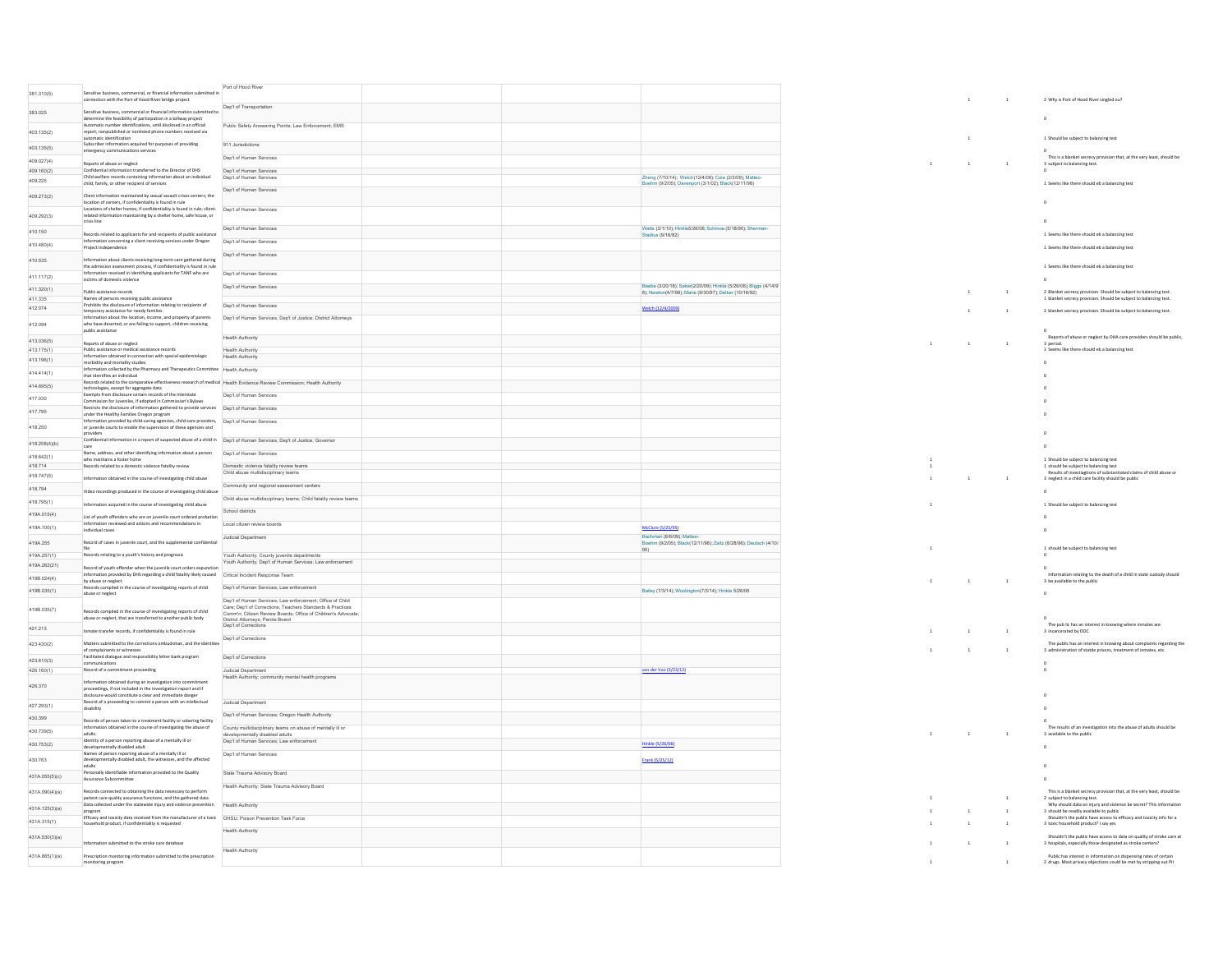| 381.310(5)               | Sensitive business, commercial, or financial information submitted in<br>nnection with the Port of Hood River bridge project                                                         | Port of Hood River                                                                                                      |  |                                                                                                     |                | $\mathbf{1}$   | $\overline{1}$ | 2 Why is Port of Hood River singled ou?                                                                                                |
|--------------------------|--------------------------------------------------------------------------------------------------------------------------------------------------------------------------------------|-------------------------------------------------------------------------------------------------------------------------|--|-----------------------------------------------------------------------------------------------------|----------------|----------------|----------------|----------------------------------------------------------------------------------------------------------------------------------------|
| 383.025                  | Sensitive business, commercial or financial information submitted to<br>determine the feasibility of participation in a tollway project                                              | Dep't of Transportation                                                                                                 |  |                                                                                                     |                |                |                |                                                                                                                                        |
| 403.135(2)               | Automatic number identifications, until disclosed in an official<br>report; nonpublished or nonlisted phone numbers received via                                                     | Public Safety Answering Points; Law Enforcement; EMS                                                                    |  |                                                                                                     |                |                |                |                                                                                                                                        |
|                          | automatic identification<br>Subscriber information acquired for purposes of providing                                                                                                | 911 Jurisdictions                                                                                                       |  |                                                                                                     |                | $\mathbf{1}$   |                | 1 Should be subject to balancing test                                                                                                  |
| 403.135(5)<br>409.027(4) | emergency communications services                                                                                                                                                    | Dep't of Human Services                                                                                                 |  |                                                                                                     |                |                |                | This is a blanket secrecy provision that, at the very least, should be                                                                 |
|                          | Reports of abuse or neglect                                                                                                                                                          |                                                                                                                         |  |                                                                                                     | $\,$ 1         | $\overline{1}$ | $\mathbf{1}$   | 3 subject to balancing test.                                                                                                           |
| 409.160(2)               | Confidential information transferred to the Director of DHS<br>Child welfare records containing information about an individual                                                      | Dep't of Human Services<br>Dep't of Human Services                                                                      |  | Zheng (7/10/14): Welch(12/4/09): Cole (2/3/09): Matteo                                              |                |                |                |                                                                                                                                        |
| 409.225                  | child, family, or other recipient of services                                                                                                                                        | Dep't of Human Services                                                                                                 |  | hm (9/2/05); Davenport (3/1/02); Black(12/11/98)                                                    |                |                |                | 1 Seems like there should eb a balancing test                                                                                          |
| 409.273(2)               | Client information maintained by sexual assault crises centers: the<br>location of centers, if confidentiality is found in rule                                                      |                                                                                                                         |  |                                                                                                     |                |                |                |                                                                                                                                        |
| 409.292(3)               | Locations of shelter homes. If confidentiality is found in rule: client- Den't of Human Services<br>related information maintaining by a shelter home, safe house, or<br>crisis line |                                                                                                                         |  |                                                                                                     |                |                |                |                                                                                                                                        |
| 410.150                  | Records related to applicants for and recipients of public assistance                                                                                                                | Dep't of Human Services                                                                                                 |  | Watts (2/1/10); Hinkle5/26/06; Schmoe (5/18/90); Sherman-<br>Stadius (9/16/82)                      |                |                |                | 1 Seems like there should eb a balancing test                                                                                          |
| 410.480(4)               | Information concerning a client receiving services under Oregon<br>Project Independence                                                                                              | Dep't of Human Service                                                                                                  |  |                                                                                                     |                |                |                | 1 Seems like there should eb a balancing test                                                                                          |
| 410.535                  | formation about clients receiving long-term care gathered during                                                                                                                     | Dep't of Human Services                                                                                                 |  |                                                                                                     |                |                |                |                                                                                                                                        |
| 411.117(2)               | the admission assessment process, if confidentiality is found in rule<br>formation received in identifying applicants for TANF who are                                               | Dep't of Human Services                                                                                                 |  |                                                                                                     |                |                |                | 1 Seems like there should eb a balancing test                                                                                          |
|                          | victims of domestic violence                                                                                                                                                         | Dep't of Human Services                                                                                                 |  | seebe (3/20/18); Saker(2/20/09); Hinkle (5/26/06); Biggs (4/14/9                                    |                |                |                |                                                                                                                                        |
| 411.320(1)               | Public assistance records                                                                                                                                                            |                                                                                                                         |  | 8); Newton(4/7/98); Marie (9/30/97); Delker (10/16/92)                                              |                | $\,$ 1 $\,$    | $\mathbf 1$    | 2 Blanket secrecy provision. Should be subject to balancing test.                                                                      |
| 411.335<br>412.074       | Names of persons receiving public assistance<br>Prohibits the disclosure of information relating to recipients of<br>temporary assistance for needy families.                        | Dep't of Human Services                                                                                                 |  | Welch (12/4/2009)                                                                                   |                | $\overline{1}$ | $\mathbf{1}$   | 1 blanket secrecy provision. Should be subject to balancing test.<br>2 blanket secrecy provision. Should be subject to balancing test. |
|                          | Information about the location, income, and property of parents                                                                                                                      | Dep't of Human Services; Dep't of Justice; District Attorneys                                                           |  |                                                                                                     |                |                |                |                                                                                                                                        |
| 412.094                  | who have deserted, or are failing to support, children receiving<br>public assistance                                                                                                |                                                                                                                         |  |                                                                                                     |                |                |                | Reports of abuse or neglect by OHA care providers should be public,                                                                    |
| 413.036(5)               | Reports of abuse or neglect                                                                                                                                                          | <b>Health Authority</b>                                                                                                 |  |                                                                                                     | $\overline{1}$ | $\overline{1}$ | $\mathbf{1}$   | 3 nerind                                                                                                                               |
| 413.175(1)               | Public assistance or medical assistance records                                                                                                                                      | Health Authority                                                                                                        |  |                                                                                                     |                |                |                | 1 Seems like there should eb a balancing test                                                                                          |
| 413.196(1)               | Information obtained in connection with special epidemiologic<br>morbidity and mortality studies                                                                                     | <b>Health Authority</b>                                                                                                 |  |                                                                                                     |                |                |                |                                                                                                                                        |
| 414.414(1)               | Information collected by the Pharmacy and Therapeutics Committee Health Authority                                                                                                    |                                                                                                                         |  |                                                                                                     |                |                |                |                                                                                                                                        |
|                          | that identifies an individual<br>Records related to the comparative effectiveness research of medical Health Evidence Review Commission: Health Authority                            |                                                                                                                         |  |                                                                                                     |                |                |                |                                                                                                                                        |
| 414.695(5)               | technologies, except for aggregate data<br>Exempts from disclosure certain records of the Interstate                                                                                 | Dep't of Human Services                                                                                                 |  |                                                                                                     |                |                |                |                                                                                                                                        |
| 417.030                  | Commission for Juveniles, if adopted in Commission's Bylaws                                                                                                                          |                                                                                                                         |  |                                                                                                     |                |                |                |                                                                                                                                        |
| 417.795                  | Restricts the disclosure of information gathered to provide services Dep't of Human Services<br>under the Healthy Families Oregon program                                            |                                                                                                                         |  |                                                                                                     |                |                |                |                                                                                                                                        |
| 418.250                  | Information provided by child-caring agencies, child-care providers, Dep't of Human Services<br>or juvenile courts to enable the supervision of these agencies and                   |                                                                                                                         |  |                                                                                                     |                |                |                |                                                                                                                                        |
| 418.258(4)(b)            | Confidential information in a report of suspected abuse of a child in   Dep't of Human Services; Dep't of Justice; Governor                                                          |                                                                                                                         |  |                                                                                                     |                |                |                |                                                                                                                                        |
|                          | Name, address, and other identifying information about a person                                                                                                                      | Den't of Human Services                                                                                                 |  |                                                                                                     |                |                |                |                                                                                                                                        |
| 418.642(1)               | who maintains a foster home                                                                                                                                                          |                                                                                                                         |  |                                                                                                     |                |                |                | 1 Should be subject to balancing test                                                                                                  |
| 418.714                  | Records related to a domestic violence fatality review                                                                                                                               | Domestic violence fatality review teams<br>Child abuse multidisciplinary teams                                          |  |                                                                                                     |                |                |                | 1 should be subject to balancing test                                                                                                  |
| 418.747(5)               | nformation obtained in the course of investigating child abuse                                                                                                                       |                                                                                                                         |  |                                                                                                     | $\mathbf{1}$   | $\overline{1}$ | $\mathbf{1}$   | - succession in the state of substantiated claims of child abuse or<br>3 neglect in a child care facility should be public             |
| 418.794                  | Video recordings produced in the course of investigating child abuse                                                                                                                 | Community and regional assessment centers                                                                               |  |                                                                                                     |                |                |                |                                                                                                                                        |
| 418.795(1)               |                                                                                                                                                                                      | Child abuse multidisciplinary teams; Child fatality review teams                                                        |  |                                                                                                     |                |                |                |                                                                                                                                        |
| 419A.015(4)              | nformation acquired in the course of investigating child abuse                                                                                                                       | School districts                                                                                                        |  |                                                                                                     |                |                |                | 1 Should be subject to balancing test                                                                                                  |
|                          | List of youth offenders who are on juvenile-court ordered probation<br>Information reviewed and actions and recommendations in                                                       | Local citizen review boards                                                                                             |  |                                                                                                     |                |                |                |                                                                                                                                        |
| 419A.100(1)              | individual cases                                                                                                                                                                     |                                                                                                                         |  | McClure (5/25/95)                                                                                   |                |                |                |                                                                                                                                        |
| 419A.255                 | Record of cases in juvenile court, and the supplemental confidential                                                                                                                 | Judicial Department                                                                                                     |  | Bachman (8/6/09): Matter<br>Boehm (9/2/05); Black(12/11/98); Zaitz (6/28/96); Deutsch (4/10/<br>951 |                |                |                | 1 should be subject to balancing test                                                                                                  |
| 419A.257(1)              | Records relating to a youth's history and prognosis                                                                                                                                  | Youth Authority; County juvenile departments<br>Youth Authority; Dep't of Human Services; Law enforcement               |  |                                                                                                     |                |                |                |                                                                                                                                        |
| 419A.262(21)             | Record of youth offender when the juvenile court orders expunction                                                                                                                   |                                                                                                                         |  |                                                                                                     |                |                |                |                                                                                                                                        |
| 419B.024(4)              | nformation provided by DHS regarding a child fatality likely caused Critical Incident Response Team<br>by abuse or neglect                                                           |                                                                                                                         |  |                                                                                                     |                | $\mathbf{1}$   | $\mathbf{1}$   | Information relating to the death of a child in state custody should<br>3 be available to the public                                   |
| 419B.035(1)              | Records compiled in the course of investigating reports of child<br>abuse or neglect                                                                                                 | Dep't of Human Services; Law enforcement                                                                                |  | Bailey (7/3/14); Woolington(7/3/14); Hinkle 5/26/06                                                 |                |                |                |                                                                                                                                        |
|                          |                                                                                                                                                                                      | Dep't of Human Services; Law enforcement; Office of Child<br>Care: Dep't of Corrections: Teachers Standards & Practices |  |                                                                                                     |                |                |                |                                                                                                                                        |
| 419B.035(7)              | ecords compiled in the course of investigating reports of child<br>abuse or neglect, that are transferred to another public body                                                     | Comm'n; Citizen Review Boards; Office of Children's Advocate;<br>District Attorneys: Parole Roard                       |  |                                                                                                     |                |                |                |                                                                                                                                        |
| 421.213                  | Inmate transfer records, if confidentiality is found in rule                                                                                                                         | Dep't of Corrections                                                                                                    |  |                                                                                                     |                | $\overline{1}$ | $\mathbf{1}$   | The public has an interest in knowing where inmates are<br>3 incarcerated by DOC                                                       |
| 423 430(2)               | Matters submitted to the corrections ombudsman, and the identities                                                                                                                   | Dep't of Corrections                                                                                                    |  |                                                                                                     |                |                |                | The public has an interest in knowing about complaints regarding th                                                                    |
|                          | of complainants or witnesses<br>Facilitated dialogue and responsibility letter bank program                                                                                          | Dep't of Corrections                                                                                                    |  |                                                                                                     | $\mathbf{1}$   | $\mathbf{1}$   |                | 3 administration of statde prisons, treatment of inmates, etc.                                                                         |
| 423 610(3)               |                                                                                                                                                                                      |                                                                                                                         |  |                                                                                                     |                |                |                |                                                                                                                                        |
| 426.160(1)               | Record of a commitment proceeding                                                                                                                                                    | Judicial Department<br>Health Authority; community mental health programs                                               |  | an der Voo (3/23/12)                                                                                |                |                |                |                                                                                                                                        |
| 426.370                  | Information obtained during an investigation into commitmen<br>proceedings, if not included in the investigation report and if                                                       |                                                                                                                         |  |                                                                                                     |                |                |                |                                                                                                                                        |
|                          | isclosure would constitute a clear and immediate danger<br>Record of a proceeding to commit a person with an intellectual                                                            | <b>Judicial Department</b>                                                                                              |  |                                                                                                     |                |                |                |                                                                                                                                        |
| 427.293(1)               |                                                                                                                                                                                      |                                                                                                                         |  |                                                                                                     |                |                |                |                                                                                                                                        |
| 430.399                  | Records of person taken to a treatment facility or sobering facility                                                                                                                 | Dep't of Human Services; Oregon Health Authority                                                                        |  |                                                                                                     |                |                |                |                                                                                                                                        |
| 430.739(5)               | Information obtained in the course of investigating the abuse of<br>adults                                                                                                           | County multidisciplinary teams on abuse of mentally ill or<br>entally disabled adults                                   |  |                                                                                                     | $\mathbf{1}$   | $\overline{1}$ | $\overline{1}$ | The results of an investigation into the abuse of adults should be<br>3 available to the public                                        |
| 430 753(2)               | Identity of a person reporting abuse of a mentally ill or<br>developmentally disabled adult                                                                                          | Dep't of Human Services; Law enforcement                                                                                |  | <b>Hinkle (5/26/06)</b>                                                                             |                |                |                | $\theta$                                                                                                                               |
| 430.763                  | Names of person reporting abuse of a mentally ill or<br>developmentally disabled adult, the witnesses, and the affected                                                              | Dep't of Human Services                                                                                                 |  | Frank (5/25/12)                                                                                     |                |                |                |                                                                                                                                        |
| 431A.055(5)(c)           | adults<br>Personally identifiable information provided to the Quality                                                                                                                | State Trauma Advisory Board                                                                                             |  |                                                                                                     |                |                |                |                                                                                                                                        |
| 431A.090(4)(a)           | Assurance Subcommittee<br>Records connected to obtaining the data necessary to perform                                                                                               | Health Authority: State Trauma Advisory Board                                                                           |  |                                                                                                     |                |                |                | This is a blanket secrecy provision that, at the very least, should be                                                                 |
|                          | patient care quality assurance functions, and the gathered data<br>Data collected under the statewide injury and violence prevention                                                 | Health Authority                                                                                                        |  |                                                                                                     |                |                | $\,$ 1         | 2 subject to balancing test.<br>Why should data on injury and violence be secret? This information                                     |
| 431A.125(3)(a)           | program<br>Efficacy and toxicity data received from the manufacturer of a toxic CHSU: Poison Prevention Task Force                                                                   |                                                                                                                         |  |                                                                                                     |                | $\,$ 1 $\,$    | $\,$ 1 $\,$    | 3 should be readily available to public<br>Shouldn't the public have access to efficacy and toxicity info for a                        |
| 431A.315(1)              | usehold product, if confidentiality is requested                                                                                                                                     | <b>Health Authority</b>                                                                                                 |  |                                                                                                     |                | $\mathbf{1}$   | $\mathbf{1}$   | 3 toxic household product? I say yes                                                                                                   |
| 431A.530(3)(a)           | iformation submitted to the stroke care database                                                                                                                                     |                                                                                                                         |  |                                                                                                     | $\mathbf{1}$   | $\mathbf 1$    | $\mathbf{1}$   | Shouldn't the public have access to data on quality of stroke care at<br>3 hospitals, especially those designated as stroke centers?   |
| 431A.865(1)(a)           | Prescription monitoring information submitted to the prescription                                                                                                                    | Health Authority                                                                                                        |  |                                                                                                     |                |                |                | Public has interest in information on dispensing rates of certain                                                                      |
|                          | monitoring program                                                                                                                                                                   |                                                                                                                         |  |                                                                                                     | $\mathbf{1}$   |                | $\mathbf{1}$   | 2 drugs. Most privacy objections could be met by stripping out PII                                                                     |

|                                                                                                                            |                             | $\mathbf 1$<br>$\sim$ $  1$ |              | 2 Why is Port of Hood River singled ou?                                                                                                                                                                                                                    |
|----------------------------------------------------------------------------------------------------------------------------|-----------------------------|-----------------------------|--------------|------------------------------------------------------------------------------------------------------------------------------------------------------------------------------------------------------------------------------------------------------------|
|                                                                                                                            |                             |                             |              | $\circ$                                                                                                                                                                                                                                                    |
|                                                                                                                            |                             | $\overline{1}$              |              | 1 Should be subject to balancing test                                                                                                                                                                                                                      |
|                                                                                                                            |                             |                             |              | $\circ$<br>This is a blanket secrecy provision that, at the very least, should be                                                                                                                                                                          |
|                                                                                                                            | $\mathbf 1$                 | $\,$ 1 $\,$                 | $\,$ 1 $\,$  | 3 subject to balancing test.<br>$\theta$                                                                                                                                                                                                                   |
| .<br>Zheng (7/10/14); Welch(12/4/09); Cole (2/3/09); Matteo-<br>Boehm (9/2/05); Davenport (3/1/02); Black(12/11/98)        |                             |                             |              | 1 Seems like there should eb a balancing test                                                                                                                                                                                                              |
|                                                                                                                            |                             |                             |              | $\circ$                                                                                                                                                                                                                                                    |
|                                                                                                                            |                             |                             |              | $\mathfrak o$                                                                                                                                                                                                                                              |
| Watts (2/1/10); Hinkle5/26/06; Schmoe (5/18/90); Sherman-<br>Stadius (9/16/82)                                             |                             |                             |              | 1 Seems like there should eb a balancing test                                                                                                                                                                                                              |
|                                                                                                                            |                             |                             |              | 1 Seems like there should eb a balancing test                                                                                                                                                                                                              |
|                                                                                                                            |                             |                             |              | 1 Seems like there should eb a balancing test                                                                                                                                                                                                              |
| Beebe (3/20/18); Saker(2/20/09); Hinkle (5/26/06); Biggs (4/14/9<br>8); Newton(4/7/98); Marie (9/30/97); Delker (10/16/92) |                             | $\,$                        | $\,$ 1       | $\,$ 0 $\,$<br>2 Blanket secrecy provision. Should be subject to balancing test.                                                                                                                                                                           |
| Welch (12/4/2009)                                                                                                          |                             |                             |              | 1 blanket secrecy provision. Should be subject to balancing test.                                                                                                                                                                                          |
|                                                                                                                            |                             | $\,$                        | $\,$ 1       | 2 blanket secrecy provision. Should be subject to balancing test.                                                                                                                                                                                          |
|                                                                                                                            | $\mathbf{1}$                | $\overline{1}$              | $\mathbf{1}$ | $\circ$<br>Reports of abuse or neglect by OHA care providers should be public,<br>3 period.                                                                                                                                                                |
|                                                                                                                            |                             |                             |              | 1 Seems like there should eb a balancing test                                                                                                                                                                                                              |
|                                                                                                                            |                             |                             |              | $\circ$<br>$\circ$                                                                                                                                                                                                                                         |
|                                                                                                                            |                             |                             |              | $\circ$                                                                                                                                                                                                                                                    |
|                                                                                                                            |                             |                             |              | $\circ$                                                                                                                                                                                                                                                    |
|                                                                                                                            |                             |                             |              | $\mathbf{0}$                                                                                                                                                                                                                                               |
|                                                                                                                            |                             |                             |              | $\circ$                                                                                                                                                                                                                                                    |
|                                                                                                                            | $\,$ 1                      |                             |              | $\mathfrak o$<br>1 Should be subject to balancing test                                                                                                                                                                                                     |
|                                                                                                                            | $\mathbf{1}$<br>$\,$ 1 $\,$ | $\,$ $\,$                   | $\,$ 1       | $\label{lem:constr} \begin{minipage}[c]{0.9\linewidth} \textbf{1 should be subject to balancing test} \\ \textbf{Results of investigations of substantial claims of child abuse or} \end{minipage}$<br>3 neglect in a child care facility should be public |
|                                                                                                                            |                             |                             |              | $\circ$                                                                                                                                                                                                                                                    |
|                                                                                                                            | $\mathbf{1}$                |                             |              | 1 Should be subject to balancing test                                                                                                                                                                                                                      |
| McClure (5/25/95)                                                                                                          |                             |                             |              | $\circ$                                                                                                                                                                                                                                                    |
| .<br>Bachman (8/6/09); Matteo-<br>Boehm (9/2/05); Black(12/11/98); Zaitz (6/28/96); Deutsch (4/10/                         |                             |                             |              | $\mathfrak o$                                                                                                                                                                                                                                              |
| 95)                                                                                                                        | $\,$ 1                      |                             |              | 1 should be subject to balancing test<br>$\circ$                                                                                                                                                                                                           |
|                                                                                                                            |                             |                             |              | $\circ$<br>Information relating to the death of a child in state custody should                                                                                                                                                                            |
| Bailey (7/3/14); Woolington(7/3/14); Hinkle 5/26/06                                                                        | $\mathbf{1}$                | $\mathbf{1}$                | $\mathbf{1}$ | 3 be available to the public<br>$\circ$                                                                                                                                                                                                                    |
|                                                                                                                            |                             |                             |              |                                                                                                                                                                                                                                                            |
|                                                                                                                            |                             |                             |              | $\mathfrak o$<br>The public has an interest in knowing where inmates are                                                                                                                                                                                   |
|                                                                                                                            | $\mathbf{1}$                | $\mathbf 1$                 | $\,$ 1 $\,$  | 3 incarcerated by DOC                                                                                                                                                                                                                                      |
|                                                                                                                            | $\mathbf{1}$                | $\mathbf 1$                 | $\mathbf 1$  | The public has an interest in knowing about complaints regarding the 3 administration of statde prisons, treatment of inmates, etc.                                                                                                                        |
| van der Voo (3/23/12)                                                                                                      |                             |                             |              | $\circ$<br>$\mathbf{0}$                                                                                                                                                                                                                                    |
|                                                                                                                            |                             |                             |              | $\circ$                                                                                                                                                                                                                                                    |
|                                                                                                                            |                             |                             |              | $\circ$                                                                                                                                                                                                                                                    |
|                                                                                                                            |                             |                             |              | $\circ$<br>The results of an investigation into the abuse of adults should be                                                                                                                                                                              |
| Hinkle (5/26/06)                                                                                                           | $\mathbf{1}$                | $\mathbf{1}$                | $\mathbf{1}$ | 3 available to the public<br>$\circ$                                                                                                                                                                                                                       |
| Frank (5/25/12)                                                                                                            |                             |                             |              | $\mathfrak o$                                                                                                                                                                                                                                              |
|                                                                                                                            |                             |                             |              | $\circ$                                                                                                                                                                                                                                                    |
|                                                                                                                            | $\,$                        |                             | $\,$ 1       | This is a blanket secrecy provision that, at the very least, should be<br>2 subject to balancing test.                                                                                                                                                     |
|                                                                                                                            | $\mathbf{1}$                | $\,$                        | $\,$ $\,$    | Why should data on injury and violence be secret? This information<br>$3\,$ should be readily available to public                                                                                                                                          |
|                                                                                                                            | $\,$                        | $\,$                        | $\,$ 1       | Shouldn't the public have access to efficacy and toxicity info for a<br>3 toxic household product? I say yes                                                                                                                                               |
|                                                                                                                            | $\,$ 1 $\,$                 | $\,$ $\,$                   | $\,$ 1 $\,$  | Shouldn't the public have access to data on quality of stroke care at<br>3 hospitals, especially those designated as stroke centers?                                                                                                                       |
|                                                                                                                            | $\mathbf 1$                 |                             | $\mathbf 1$  | Public has interest in information on dispensing rates of certain<br>2 drugs. Most privacy objections could be met by stripping out PII                                                                                                                    |